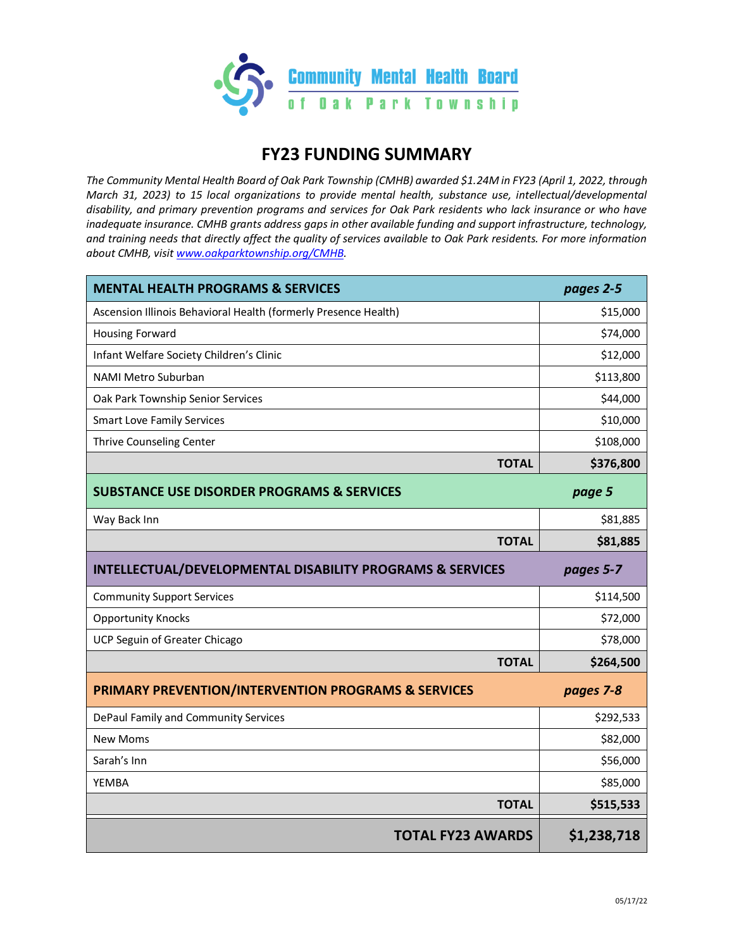

# **FY23 FUNDING SUMMARY**

*The Community Mental Health Board of Oak Park Township (CMHB) awarded \$1.24M in FY23 (April 1, 2022, through March 31, 2023) to 15 local organizations to provide mental health, substance use, intellectual/developmental disability, and primary prevention programs and services for Oak Park residents who lack insurance or who have inadequate insurance. CMHB grants address gaps in other available funding and support infrastructure, technology, and training needs that directly affect the quality of services available to Oak Park residents. For more information about CMHB, visit [www.oakparktownship.org/CMHB.](http://www.oakparktownship.org/CMHB)* 

| <b>MENTAL HEALTH PROGRAMS &amp; SERVICES</b>                         | pages 2-5   |
|----------------------------------------------------------------------|-------------|
| Ascension Illinois Behavioral Health (formerly Presence Health)      | \$15,000    |
| <b>Housing Forward</b>                                               | \$74,000    |
| Infant Welfare Society Children's Clinic                             | \$12,000    |
| NAMI Metro Suburban                                                  | \$113,800   |
| Oak Park Township Senior Services                                    | \$44,000    |
| <b>Smart Love Family Services</b>                                    | \$10,000    |
| Thrive Counseling Center                                             | \$108,000   |
| <b>TOTAL</b>                                                         | \$376,800   |
| <b>SUBSTANCE USE DISORDER PROGRAMS &amp; SERVICES</b>                | page 5      |
| Way Back Inn                                                         | \$81,885    |
| <b>TOTAL</b>                                                         | \$81,885    |
| <b>INTELLECTUAL/DEVELOPMENTAL DISABILITY PROGRAMS &amp; SERVICES</b> | pages 5-7   |
| <b>Community Support Services</b>                                    | \$114,500   |
| <b>Opportunity Knocks</b>                                            | \$72,000    |
| UCP Seguin of Greater Chicago                                        | \$78,000    |
| <b>TOTAL</b>                                                         | \$264,500   |
| PRIMARY PREVENTION/INTERVENTION PROGRAMS & SERVICES                  | pages 7-8   |
| DePaul Family and Community Services                                 | \$292,533   |
| <b>New Moms</b>                                                      | \$82,000    |
| Sarah's Inn                                                          | \$56,000    |
| <b>YEMBA</b>                                                         | \$85,000    |
| <b>TOTAL</b>                                                         | \$515,533   |
| <b>TOTAL FY23 AWARDS</b>                                             | \$1,238,718 |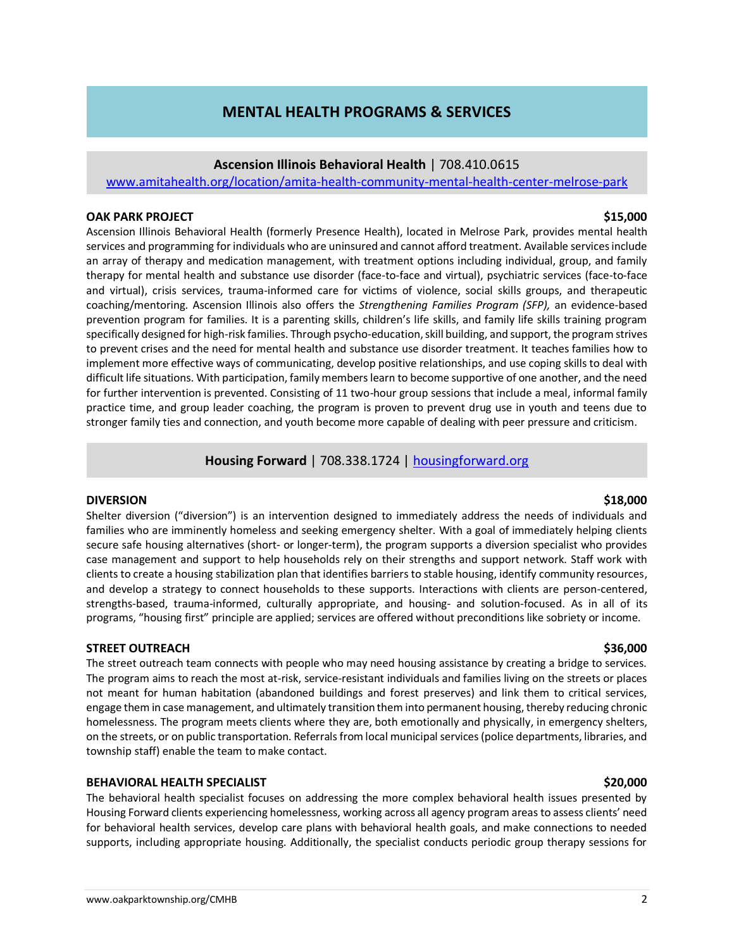# **MENTAL HEALTH PROGRAMS & SERVICES**

## **Ascension Illinois Behavioral Health** | 708.410.0615

[www.amitahealth.org/location/amita-health-community-mental-health-center-melrose-park](http://www.amitahealth.org/location/amita-health-community-mental-health-center-melrose-park)

## **OAK PARK PROJECT \$15,000**

Ascension Illinois Behavioral Health (formerly Presence Health), located in Melrose Park, provides mental health services and programming for individuals who are uninsured and cannot afford treatment. Available services include an array of therapy and medication management, with treatment options including individual, group, and family therapy for mental health and substance use disorder (face-to-face and virtual), psychiatric services (face-to-face and virtual), crisis services, trauma-informed care for victims of violence, social skills groups, and therapeutic coaching/mentoring. Ascension Illinois also offers the *Strengthening Families Program (SFP),* an evidence-based prevention program for families. It is a parenting skills, children's life skills, and family life skills training program specifically designed for high-risk families. Through psycho-education, skill building, and support, the program strives to prevent crises and the need for mental health and substance use disorder treatment. It teaches families how to implement more effective ways of communicating, develop positive relationships, and use coping skills to deal with difficult life situations. With participation, family members learn to become supportive of one another, and the need for further intervention is prevented. Consisting of 11 two-hour group sessions that include a meal, informal family practice time, and group leader coaching, the program is proven to prevent drug use in youth and teens due to stronger family ties and connection, and youth become more capable of dealing with peer pressure and criticism.

## **Housing Forward** | 708.338.1724 | [housingforward.org](https://www.housingforward.org/)

## **DIVERSION \$18,000**

Shelter diversion ("diversion") is an intervention designed to immediately address the needs of individuals and families who are imminently homeless and seeking emergency shelter. With a goal of immediately helping clients secure safe housing alternatives (short- or longer-term), the program supports a diversion specialist who provides case management and support to help households rely on their strengths and support network. Staff work with clients to create a housing stabilization plan that identifies barriers to stable housing, identify community resources, and develop a strategy to connect households to these supports. Interactions with clients are person-centered, strengths-based, trauma-informed, culturally appropriate, and housing- and solution-focused. As in all of its programs, "housing first" principle are applied; services are offered without preconditions like sobriety or income.

## **STREET OUTREACH \$36,000**

The street outreach team connects with people who may need housing assistance by creating a bridge to services. The program aims to reach the most at-risk, service-resistant individuals and families living on the streets or places not meant for human habitation (abandoned buildings and forest preserves) and link them to critical services, engage them in case management, and ultimately transition them into permanent housing, thereby reducing chronic homelessness. The program meets clients where they are, both emotionally and physically, in emergency shelters, on the streets, or on public transportation. Referrals from local municipal services (police departments, libraries, and township staff) enable the team to make contact.

## **BEHAVIORAL HEALTH SPECIALIST \$20,000**

The behavioral health specialist focuses on addressing the more complex behavioral health issues presented by Housing Forward clients experiencing homelessness, working across all agency program areas to assess clients' need for behavioral health services, develop care plans with behavioral health goals, and make connections to needed supports, including appropriate housing. Additionally, the specialist conducts periodic group therapy sessions for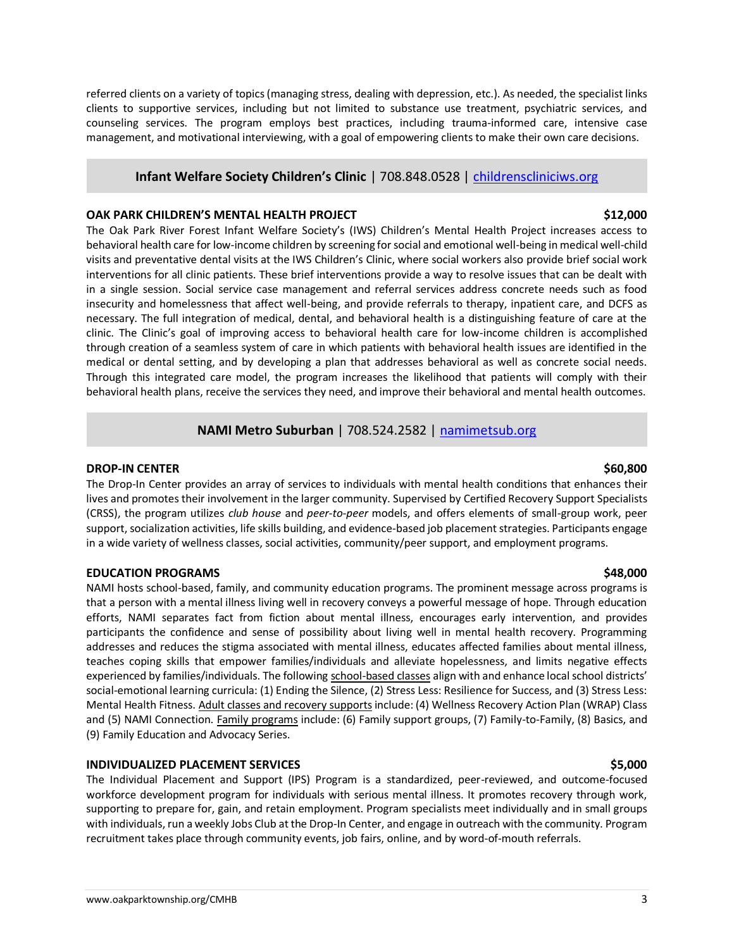referred clients on a variety of topics (managing stress, dealing with depression, etc.). As needed, the specialist links clients to supportive services, including but not limited to substance use treatment, psychiatric services, and counseling services. The program employs best practices, including trauma-informed care, intensive case management, and motivational interviewing, with a goal of empowering clients to make their own care decisions.

## **Infant Welfare Society Children's Clinic** | 708.848.0528 | [childrenscliniciws.org](https://www.childrenscliniciws.org/)

### **OAK PARK CHILDREN'S MENTAL HEALTH PROJECT \$12,000**

The Oak Park River Forest Infant Welfare Society's (IWS) Children's Mental Health Project increases access to behavioral health care for low-income children by screening for social and emotional well-being in medical well-child visits and preventative dental visits at the IWS Children's Clinic, where social workers also provide brief social work interventions for all clinic patients. These brief interventions provide a way to resolve issues that can be dealt with in a single session. Social service case management and referral services address concrete needs such as food insecurity and homelessness that affect well-being, and provide referrals to therapy, inpatient care, and DCFS as necessary. The full integration of medical, dental, and behavioral health is a distinguishing feature of care at the clinic. The Clinic's goal of improving access to behavioral health care for low-income children is accomplished through creation of a seamless system of care in which patients with behavioral health issues are identified in the medical or dental setting, and by developing a plan that addresses behavioral as well as concrete social needs. Through this integrated care model, the program increases the likelihood that patients will comply with their behavioral health plans, receive the services they need, and improve their behavioral and mental health outcomes.

## **NAMI Metro Suburban** | 708.524.2582 | [namimetsub.org](https://namimetsub.org/)

### **DROP-IN CENTER** \$60,800

The Drop-In Center provides an array of services to individuals with mental health conditions that enhances their lives and promotes their involvement in the larger community. Supervised by Certified Recovery Support Specialists (CRSS), the program utilizes *club house* and *peer-to-peer* models, and offers elements of small-group work, peer support, socialization activities, life skills building, and evidence-based job placement strategies. Participants engage in a wide variety of wellness classes, social activities, community/peer support, and employment programs.

## **EDUCATION PROGRAMS \$48,000**

NAMI hosts school-based, family, and community education programs. The prominent message across programs is that a person with a mental illness living well in recovery conveys a powerful message of hope. Through education efforts, NAMI separates fact from fiction about mental illness, encourages early intervention, and provides participants the confidence and sense of possibility about living well in mental health recovery. Programming addresses and reduces the stigma associated with mental illness, educates affected families about mental illness, teaches coping skills that empower families/individuals and alleviate hopelessness, and limits negative effects experienced by families/individuals. The following school-based classes align with and enhance local school districts' social-emotional learning curricula: (1) Ending the Silence, (2) Stress Less: Resilience for Success, and (3) Stress Less: Mental Health Fitness. Adult classes and recovery supports include: (4) Wellness Recovery Action Plan (WRAP) Class and (5) NAMI Connection. Family programs include: (6) Family support groups, (7) Family-to-Family, (8) Basics, and (9) Family Education and Advocacy Series.

## **INDIVIDUALIZED PLACEMENT SERVICES \$5,000**

The Individual Placement and Support (IPS) Program is a standardized, peer-reviewed, and outcome-focused workforce development program for individuals with serious mental illness. It promotes recovery through work, supporting to prepare for, gain, and retain employment. Program specialists meet individually and in small groups with individuals, run a weekly Jobs Club at the Drop-In Center, and engage in outreach with the community. Program recruitment takes place through community events, job fairs, online, and by word-of-mouth referrals.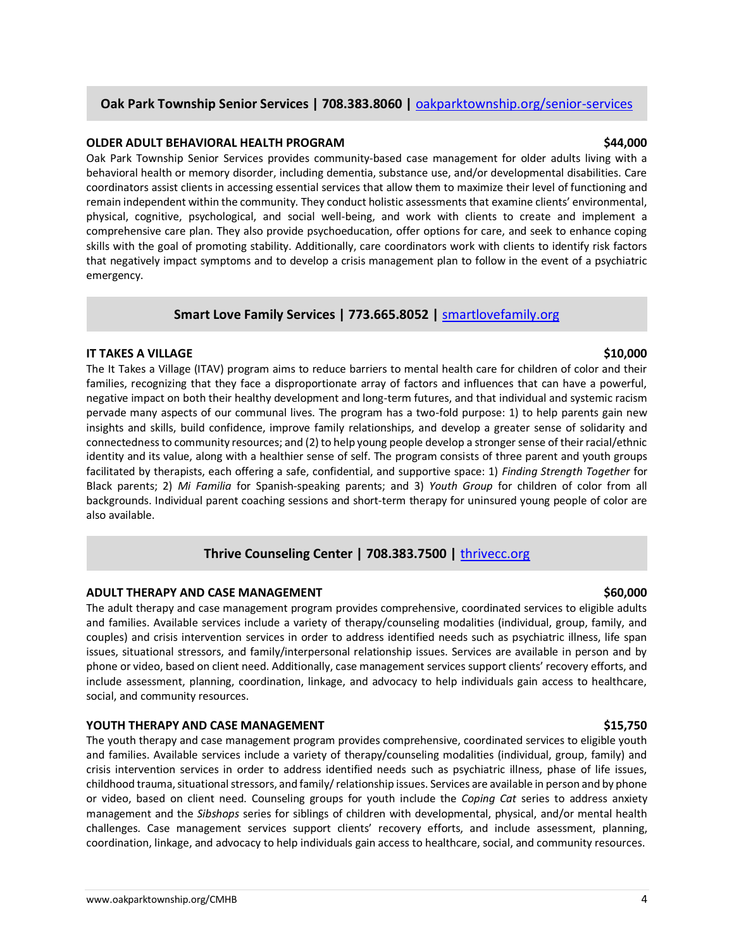## **Oak Park Township Senior Services | 708.383.8060 | [oakparktownship.org/senior-services](https://oakparktownship.org/senior-services/)**

### **OLDER ADULT BEHAVIORAL HEALTH PROGRAM \$44,000**

Oak Park Township Senior Services provides community-based case management for older adults living with a behavioral health or memory disorder, including dementia, substance use, and/or developmental disabilities. Care coordinators assist clients in accessing essential services that allow them to maximize their level of functioning and remain independent within the community. They conduct holistic assessments that examine clients' environmental, physical, cognitive, psychological, and social well-being, and work with clients to create and implement a comprehensive care plan. They also provide psychoeducation, offer options for care, and seek to enhance coping skills with the goal of promoting stability. Additionally, care coordinators work with clients to identify risk factors that negatively impact symptoms and to develop a crisis management plan to follow in the event of a psychiatric emergency.

### **Smart Love Family Services | 773.665.8052 |** [smartlovefamily.org](https://www.smartlovefamily.org/)

### **IT TAKES A VILLAGE \$10,000**

The It Takes a Village (ITAV) program aims to reduce barriers to mental health care for children of color and their families, recognizing that they face a disproportionate array of factors and influences that can have a powerful, negative impact on both their healthy development and long-term futures, and that individual and systemic racism pervade many aspects of our communal lives. The program has a two-fold purpose: 1) to help parents gain new insights and skills, build confidence, improve family relationships, and develop a greater sense of solidarity and connectedness to community resources; and (2) to help young people develop a stronger sense of their racial/ethnic identity and its value, along with a healthier sense of self. The program consists of three parent and youth groups facilitated by therapists, each offering a safe, confidential, and supportive space: 1) *Finding Strength Together* for Black parents; 2) *Mi Familia* for Spanish-speaking parents; and 3) *Youth Group* for children of color from all backgrounds. Individual parent coaching sessions and short-term therapy for uninsured young people of color are also available.

## **Thrive Counseling Center | 708.383.7500 |** [thrivecc.org](https://www.thrivecc.org/)

## **ADULT THERAPY AND CASE MANAGEMENT \$60,000**

The adult therapy and case management program provides comprehensive, coordinated services to eligible adults and families. Available services include a variety of therapy/counseling modalities (individual, group, family, and couples) and crisis intervention services in order to address identified needs such as psychiatric illness, life span issues, situational stressors, and family/interpersonal relationship issues. Services are available in person and by phone or video, based on client need. Additionally, case management services support clients' recovery efforts, and include assessment, planning, coordination, linkage, and advocacy to help individuals gain access to healthcare, social, and community resources.

### **YOUTH THERAPY AND CASE MANAGEMENT \$15,750**

The youth therapy and case management program provides comprehensive, coordinated services to eligible youth and families. Available services include a variety of therapy/counseling modalities (individual, group, family) and crisis intervention services in order to address identified needs such as psychiatric illness, phase of life issues, childhood trauma, situational stressors, and family/ relationship issues. Services are available in person and by phone or video, based on client need. Counseling groups for youth include the *Coping Cat* series to address anxiety management and the *Sibshops* series for siblings of children with developmental, physical, and/or mental health challenges. Case management services support clients' recovery efforts, and include assessment, planning, coordination, linkage, and advocacy to help individuals gain access to healthcare, social, and community resources.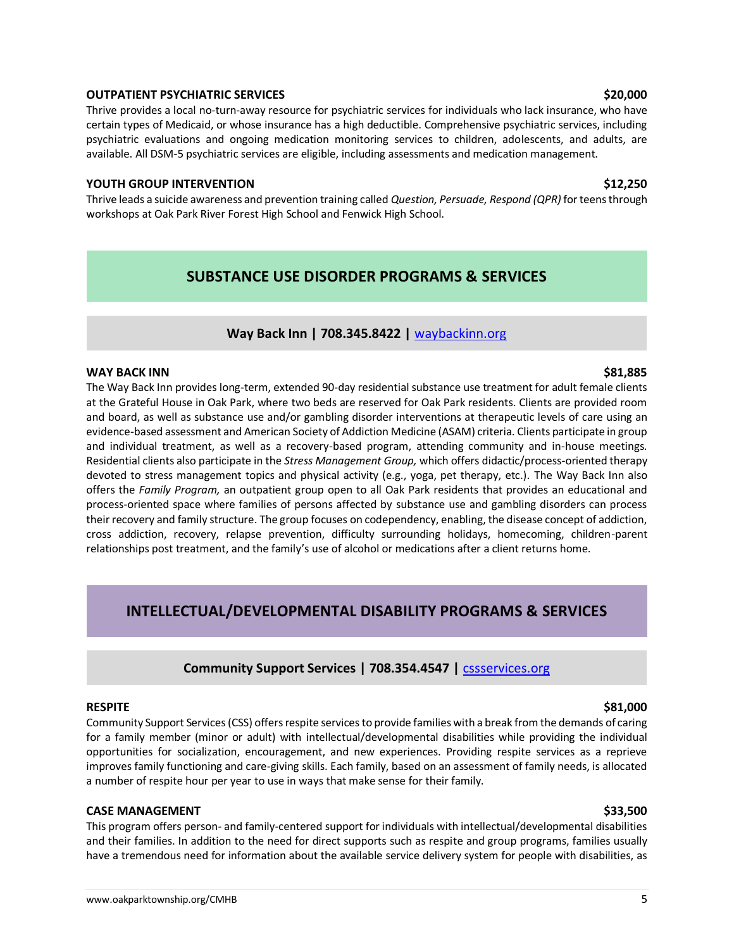### **OUTPATIENT PSYCHIATRIC SERVICES \$20,000**

Thrive provides a local no-turn-away resource for psychiatric services for individuals who lack insurance, who have certain types of Medicaid, or whose insurance has a high deductible. Comprehensive psychiatric services, including psychiatric evaluations and ongoing medication monitoring services to children, adolescents, and adults, are available. All DSM-5 psychiatric services are eligible, including assessments and medication management.

### **YOUTH GROUP INTERVENTION \$12,250**

Thrive leads a suicide awareness and prevention training called *Question, Persuade, Respond (QPR)* for teens through workshops at Oak Park River Forest High School and Fenwick High School.

# **SUBSTANCE USE DISORDER PROGRAMS & SERVICES**

## **Way Back Inn | 708.345.8422 |** [waybackinn.org](https://waybackinn.org/)

### **WAY BACK INN \$81,885**

The Way Back Inn provides long-term, extended 90-day residential substance use treatment for adult female clients at the Grateful House in Oak Park, where two beds are reserved for Oak Park residents. Clients are provided room and board, as well as substance use and/or gambling disorder interventions at therapeutic levels of care using an evidence-based assessment and American Society of Addiction Medicine (ASAM) criteria. Clients participate in group and individual treatment, as well as a recovery-based program, attending community and in-house meetings. Residential clients also participate in the *Stress Management Group,* which offers didactic/process-oriented therapy devoted to stress management topics and physical activity (e.g., yoga, pet therapy, etc.). The Way Back Inn also offers the *Family Program,* an outpatient group open to all Oak Park residents that provides an educational and process-oriented space where families of persons affected by substance use and gambling disorders can process their recovery and family structure. The group focuses on codependency, enabling, the disease concept of addiction, cross addiction, recovery, relapse prevention, difficulty surrounding holidays, homecoming, children-parent relationships post treatment, and the family's use of alcohol or medications after a client returns home.

# **INTELLECTUAL/DEVELOPMENTAL DISABILITY PROGRAMS & SERVICES**

## **Community Support Services | 708.354.4547 |** [cssservices.org](https://www.cssservices.org/)

### **RESPITE \$81,000**

Community Support Services (CSS) offers respite services to provide families with a break from the demands of caring for a family member (minor or adult) with intellectual/developmental disabilities while providing the individual opportunities for socialization, encouragement, and new experiences. Providing respite services as a reprieve improves family functioning and care-giving skills. Each family, based on an assessment of family needs, is allocated a number of respite hour per year to use in ways that make sense for their family.

### **CASE MANAGEMENT \$33,500**

This program offers person- and family-centered support for individuals with intellectual/developmental disabilities and their families. In addition to the need for direct supports such as respite and group programs, families usually have a tremendous need for information about the available service delivery system for people with disabilities, as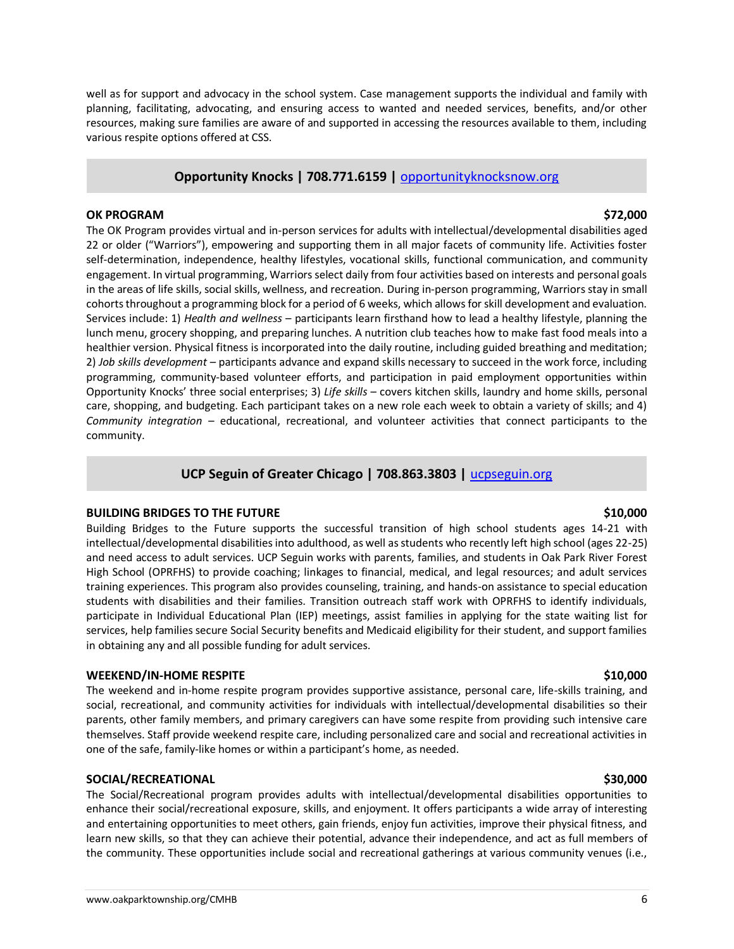well as for support and advocacy in the school system. Case management supports the individual and family with planning, facilitating, advocating, and ensuring access to wanted and needed services, benefits, and/or other resources, making sure families are aware of and supported in accessing the resources available to them, including various respite options offered at CSS.

## **Opportunity Knocks | 708.771.6159 |** [opportunityknocksnow.org](http://www.opportunityknocksnow.org/)

### **OK PROGRAM \$72,000**

The OK Program provides virtual and in-person services for adults with intellectual/developmental disabilities aged 22 or older ("Warriors"), empowering and supporting them in all major facets of community life. Activities foster self-determination, independence, healthy lifestyles, vocational skills, functional communication, and community engagement. In virtual programming, Warriors select daily from four activities based on interests and personal goals in the areas of life skills, social skills, wellness, and recreation. During in-person programming, Warriors stay in small cohorts throughout a programming block for a period of 6 weeks, which allows for skill development and evaluation. Services include: 1) *Health and wellness* – participants learn firsthand how to lead a healthy lifestyle, planning the lunch menu, grocery shopping, and preparing lunches. A nutrition club teaches how to make fast food meals into a healthier version. Physical fitness is incorporated into the daily routine, including guided breathing and meditation; 2) *Job skills development* – participants advance and expand skills necessary to succeed in the work force, including programming, community-based volunteer efforts, and participation in paid employment opportunities within Opportunity Knocks' three social enterprises; 3) *Life skills* – covers kitchen skills, laundry and home skills, personal care, shopping, and budgeting. Each participant takes on a new role each week to obtain a variety of skills; and 4) *Community integration –* educational, recreational, and volunteer activities that connect participants to the community.

## **UCP Seguin of Greater Chicago | 708.863.3803 |** [ucpseguin.org](https://ucpseguin.org/)

## **BUILDING BRIDGES TO THE FUTURE \$10,000**

Building Bridges to the Future supports the successful transition of high school students ages 14-21 with intellectual/developmental disabilities into adulthood, as well as students who recently left high school (ages 22-25) and need access to adult services. UCP Seguin works with parents, families, and students in Oak Park River Forest High School (OPRFHS) to provide coaching; linkages to financial, medical, and legal resources; and adult services training experiences. This program also provides counseling, training, and hands-on assistance to special education students with disabilities and their families. Transition outreach staff work with OPRFHS to identify individuals, participate in Individual Educational Plan (IEP) meetings, assist families in applying for the state waiting list for services, help families secure Social Security benefits and Medicaid eligibility for their student, and support families in obtaining any and all possible funding for adult services.

## **WEEKEND/IN-HOME RESPITE \$10,000**

The weekend and in-home respite program provides supportive assistance, personal care, life-skills training, and social, recreational, and community activities for individuals with intellectual/developmental disabilities so their parents, other family members, and primary caregivers can have some respite from providing such intensive care themselves. Staff provide weekend respite care, including personalized care and social and recreational activities in one of the safe, family-like homes or within a participant's home, as needed.

## **SOCIAL/RECREATIONAL \$30,000**

The Social/Recreational program provides adults with intellectual/developmental disabilities opportunities to enhance their social/recreational exposure, skills, and enjoyment. It offers participants a wide array of interesting and entertaining opportunities to meet others, gain friends, enjoy fun activities, improve their physical fitness, and learn new skills, so that they can achieve their potential, advance their independence, and act as full members of the community. These opportunities include social and recreational gatherings at various community venues (i.e.,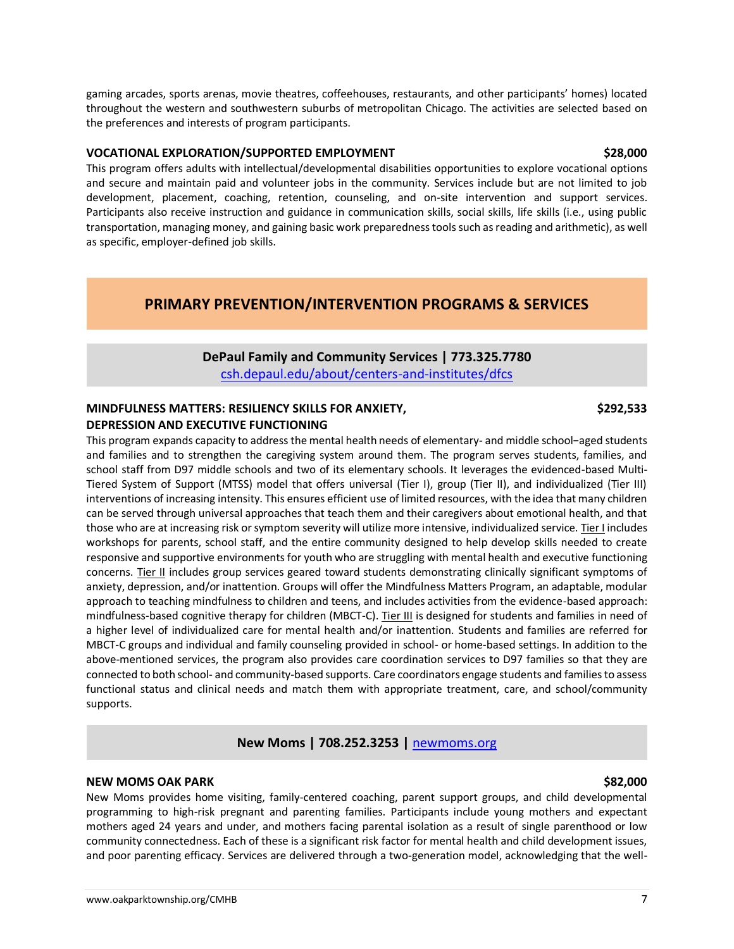gaming arcades, sports arenas, movie theatres, coffeehouses, restaurants, and other participants' homes) located throughout the western and southwestern suburbs of metropolitan Chicago. The activities are selected based on the preferences and interests of program participants.

### **VOCATIONAL EXPLORATION/SUPPORTED EMPLOYMENT \$28,000**

This program offers adults with intellectual/developmental disabilities opportunities to explore vocational options and secure and maintain paid and volunteer jobs in the community. Services include but are not limited to job development, placement, coaching, retention, counseling, and on-site intervention and support services. Participants also receive instruction and guidance in communication skills, social skills, life skills (i.e., using public transportation, managing money, and gaining basic work preparedness tools such as reading and arithmetic), as well as specific, employer-defined job skills.

## **PRIMARY PREVENTION/INTERVENTION PROGRAMS & SERVICES**

## **DePaul Family and Community Services | 773.325.7780** [csh.depaul.edu/about/centers-and-institutes/dfcs](https://csh.depaul.edu/about/centers-and-institutes/dfcs/)

## **MINDFULNESS MATTERS: RESILIENCY SKILLS FOR ANXIETY, \$292,533 DEPRESSION AND EXECUTIVE FUNCTIONING**

This program expands capacity to address the mental health needs of elementary- and middle school−aged students and families and to strengthen the caregiving system around them. The program serves students, families, and school staff from D97 middle schools and two of its elementary schools. It leverages the evidenced-based Multi-Tiered System of Support (MTSS) model that offers universal (Tier I), group (Tier II), and individualized (Tier III) interventions of increasing intensity. This ensures efficient use of limited resources, with the idea that many children can be served through universal approaches that teach them and their caregivers about emotional health, and that those who are at increasing risk or symptom severity will utilize more intensive, individualized service. Tier I includes workshops for parents, school staff, and the entire community designed to help develop skills needed to create responsive and supportive environments for youth who are struggling with mental health and executive functioning concerns. Tier II includes group services geared toward students demonstrating clinically significant symptoms of anxiety, depression, and/or inattention. Groups will offer the Mindfulness Matters Program, an adaptable, modular approach to teaching mindfulness to children and teens, and includes activities from the evidence-based approach: mindfulness-based cognitive therapy for children (MBCT-C). Tier III is designed for students and families in need of a higher level of individualized care for mental health and/or inattention. Students and families are referred for MBCT-C groups and individual and family counseling provided in school- or home-based settings. In addition to the above-mentioned services, the program also provides care coordination services to D97 families so that they are connected to both school- and community-based supports. Care coordinators engage students and families to assess functional status and clinical needs and match them with appropriate treatment, care, and school/community supports.

## **New Moms | 708.252.3253 |** [newmoms.org](https://newmoms.org/)

### **NEW MOMS OAK PARK \$82,000**

New Moms provides home visiting, family-centered coaching, parent support groups, and child developmental programming to high-risk pregnant and parenting families. Participants include young mothers and expectant mothers aged 24 years and under, and mothers facing parental isolation as a result of single parenthood or low community connectedness. Each of these is a significant risk factor for mental health and child development issues, and poor parenting efficacy. Services are delivered through a two-generation model, acknowledging that the well-